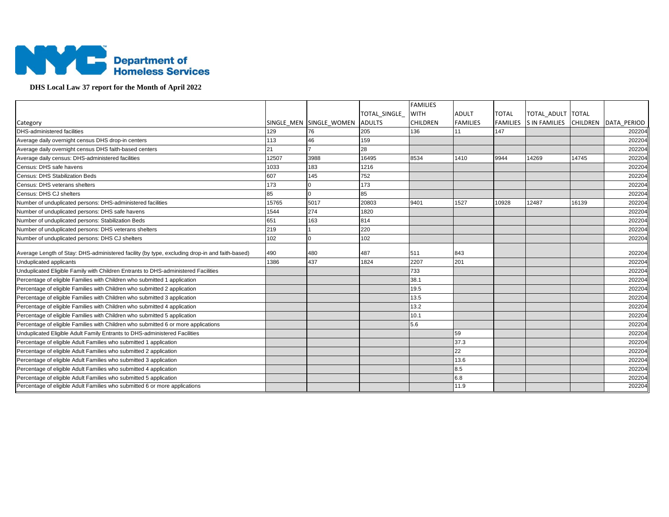

## **DHS Local Law 37 report for the Month of April 2022**

|                                                                                                |       |                         |               | <b>FAMILIES</b> |                 |              |                                             |       |        |
|------------------------------------------------------------------------------------------------|-------|-------------------------|---------------|-----------------|-----------------|--------------|---------------------------------------------|-------|--------|
|                                                                                                |       |                         | TOTAL SINGLE  | <b>WITH</b>     | <b>ADULT</b>    | <b>TOTAL</b> | TOTAL ADULT TOTAL                           |       |        |
| Category                                                                                       |       | SINGLE MEN SINGLE WOMEN | <b>ADULTS</b> | <b>CHILDREN</b> | <b>FAMILIES</b> |              | FAMILIES S IN FAMILIES CHILDREN DATA PERIOD |       |        |
| <b>DHS-administered facilities</b>                                                             | 129   | 76                      | 205           | 136             | 11              | 147          |                                             |       | 202204 |
| Average daily overnight census DHS drop-in centers                                             | 113   | 46                      | 159           |                 |                 |              |                                             |       | 202204 |
| Average daily overnight census DHS faith-based centers                                         | 21    |                         | 28            |                 |                 |              |                                             |       | 202204 |
| Average daily census: DHS-administered facilities                                              | 12507 | 3988                    | 16495         | 8534            | 1410            | 9944         | 14269                                       | 14745 | 202204 |
| Census: DHS safe havens                                                                        | 1033  | 183                     | 1216          |                 |                 |              |                                             |       | 202204 |
| <b>Census: DHS Stabilization Beds</b>                                                          | 607   | 145                     | 752           |                 |                 |              |                                             |       | 202204 |
| Census: DHS veterans shelters                                                                  | 173   |                         | 173           |                 |                 |              |                                             |       | 202204 |
| Census: DHS CJ shelters                                                                        | 85    | $\Omega$                | 85            |                 |                 |              |                                             |       | 202204 |
| Number of unduplicated persons: DHS-administered facilities                                    | 15765 | 5017                    | 20803         | 9401            | 1527            | 10928        | 12487                                       | 16139 | 202204 |
| Number of unduplicated persons: DHS safe havens                                                | 1544  | 274                     | 1820          |                 |                 |              |                                             |       | 202204 |
| Number of unduplicated persons: Stabilization Beds                                             | 651   | 163                     | 814           |                 |                 |              |                                             |       | 202204 |
| Number of unduplicated persons: DHS veterans shelters                                          | 219   |                         | 220           |                 |                 |              |                                             |       | 202204 |
| Number of unduplicated persons: DHS CJ shelters                                                | 102   | $\Omega$                | 102           |                 |                 |              |                                             |       | 202204 |
| Average Length of Stay: DHS-administered facility (by type, excluding drop-in and faith-based) | 490   | 480                     | 487           | 511             | 843             |              |                                             |       | 202204 |
| Unduplicated applicants                                                                        | 1386  | 437                     | 1824          | 2207            | 201             |              |                                             |       | 202204 |
| Unduplicated Eligible Family with Children Entrants to DHS-administered Facilities             |       |                         |               | 733             |                 |              |                                             |       | 202204 |
| Percentage of eligible Families with Children who submitted 1 application                      |       |                         |               | 38.1            |                 |              |                                             |       | 202204 |
| Percentage of eligible Families with Children who submitted 2 application                      |       |                         |               | 19.5            |                 |              |                                             |       | 202204 |
| Percentage of eligible Families with Children who submitted 3 application                      |       |                         |               | 13.5            |                 |              |                                             |       | 202204 |
| Percentage of eligible Families with Children who submitted 4 application                      |       |                         |               | 13.2            |                 |              |                                             |       | 202204 |
| Percentage of eligible Families with Children who submitted 5 application                      |       |                         |               | 10.1            |                 |              |                                             |       | 202204 |
| Percentage of eligible Families with Children who submitted 6 or more applications             |       |                         |               | 5.6             |                 |              |                                             |       | 202204 |
| Unduplicated Eligible Adult Family Entrants to DHS-administered Facilities                     |       |                         |               |                 | 59              |              |                                             |       | 202204 |
| Percentage of eligible Adult Families who submitted 1 application                              |       |                         |               |                 | 37.3            |              |                                             |       | 202204 |
| Percentage of eligible Adult Families who submitted 2 application                              |       |                         |               |                 | 22              |              |                                             |       | 202204 |
| Percentage of eligible Adult Families who submitted 3 application                              |       |                         |               |                 | 13.6            |              |                                             |       | 202204 |
| Percentage of eligible Adult Families who submitted 4 application                              |       |                         |               |                 | 8.5             |              |                                             |       | 202204 |
| Percentage of eligible Adult Families who submitted 5 application                              |       |                         |               |                 | 6.8             |              |                                             |       | 202204 |
| Percentage of eligible Adult Families who submitted 6 or more applications                     |       |                         |               |                 | 11.9            |              |                                             |       | 202204 |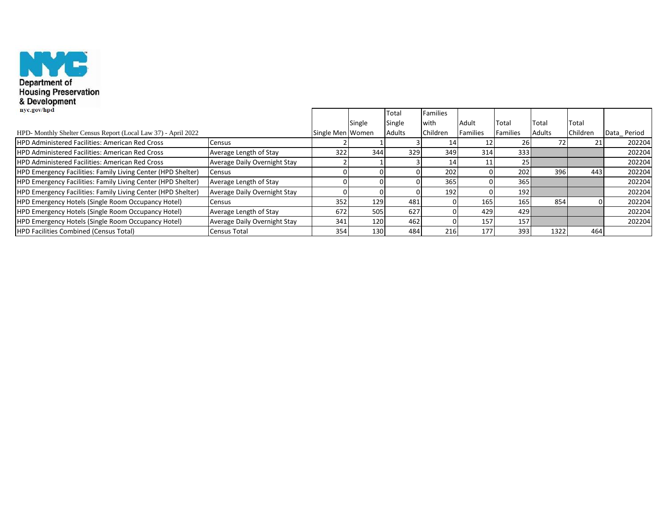

| <b><i><u><del>Revelopment</del></u></i></b>                         |                                     |                  |        |               |          |                 |                 |               |          |             |
|---------------------------------------------------------------------|-------------------------------------|------------------|--------|---------------|----------|-----------------|-----------------|---------------|----------|-------------|
| nyc.gov/hpd                                                         |                                     |                  |        | Total         | Families |                 |                 |               |          |             |
|                                                                     |                                     |                  | Single | Single        | with     | Adult           | Total           | Total         | Total    |             |
| HPD- Monthly Shelter Census Report (Local Law 37) - April 2022      |                                     | Single Men Women |        | <b>Adults</b> | Children | <b>Families</b> | <b>Families</b> | <b>Adults</b> | Children | Data_Period |
| <b>HPD Administered Facilities: American Red Cross</b>              | Census                              |                  |        |               | 14       |                 | 26              | 72            | 21       | 202204      |
| <b>HPD Administered Facilities: American Red Cross</b>              | Average Length of Stay              | 322              | 344    | 329           | 349      | 314             | 333             |               |          | 202204      |
| <b>HPD Administered Facilities: American Red Cross</b>              | Average Daily Overnight Stay        |                  |        |               | 14       |                 | 25I             |               |          | 202204      |
| <b>HPD Emergency Facilities: Family Living Center (HPD Shelter)</b> | Census                              |                  |        |               | 202      |                 | 202             | 396           | 443      | 202204      |
| <b>HPD Emergency Facilities: Family Living Center (HPD Shelter)</b> | Average Length of Stay              |                  |        |               | 365      |                 | 365             |               |          | 202204      |
| <b>HPD Emergency Facilities: Family Living Center (HPD Shelter)</b> | <b>Average Daily Overnight Stay</b> |                  |        |               | 192      |                 | 192             |               |          | 202204      |
| <b>HPD Emergency Hotels (Single Room Occupancy Hotel)</b>           | <b>Census</b>                       | 352              | 129    | 481           |          | 165             | 165             | 854           |          | 202204      |
| <b>HPD Emergency Hotels (Single Room Occupancy Hotel)</b>           | Average Length of Stay              | 672              | 505    | 627           |          | 429             | 429             |               |          | 202204      |
| <b>HPD Emergency Hotels (Single Room Occupancy Hotel)</b>           | <b>Average Daily Overnight Stay</b> | 341              | 120    | 462           |          | 157             | 157             |               |          | 202204      |
| <b>HPD Facilities Combined (Census Total)</b>                       | Census Total                        | 354              | 130    | 484           | 216      | 177             | 393             | 1322          | 464      |             |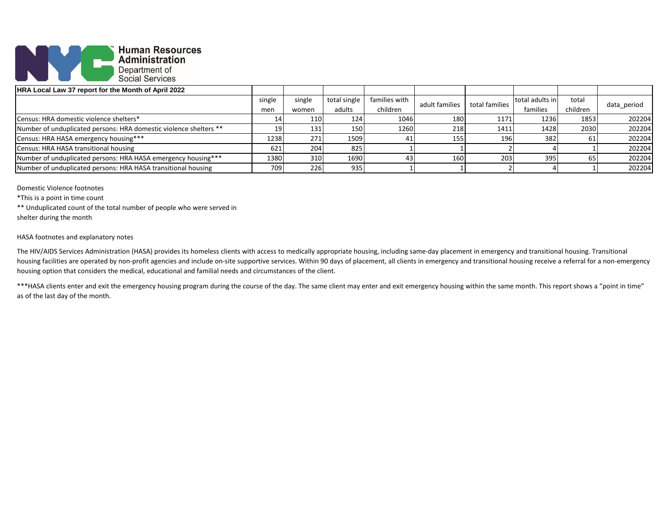

| <b>HRA Local Law 37 report for the Month of April 2022</b>        |        |        |              |               |                                  |                 |          |          |             |
|-------------------------------------------------------------------|--------|--------|--------------|---------------|----------------------------------|-----------------|----------|----------|-------------|
|                                                                   | single | single | total single | families with | total families<br>adult families | total adults in | total    |          |             |
|                                                                   | men    | women  | adults       | children      |                                  |                 | families | children | data period |
| Census: HRA domestic violence shelters*                           | -14    | 110    | 124          | 1046          | 180                              | 1171            | 1236     | 1853     | 202204      |
| Number of unduplicated persons: HRA domestic violence shelters ** |        | 131    | 150          | 1260          | 218                              | 1411            | 1428     | 2030     | 202204      |
| Census: HRA HASA emergency housing***                             | 1238   | 271    | 1509         | 41            | 155                              | 196             | 382      | 61       | 202204      |
| Census: HRA HASA transitional housing                             | 621    | 204    | 825          |               |                                  |                 |          |          | 202204      |
| Number of unduplicated persons: HRA HASA emergency housing***     | 1380   | 310    | 1690         | 43            | 160                              | 203             | 395      | 65       | 202204      |
| Number of unduplicated persons: HRA HASA transitional housing     | 709    | 226    | 935          |               |                                  |                 |          |          | 202204      |

Domestic Violence footnotes

\*This is a point in time count

\*\* Unduplicated count of the total number of people who were served in

shelter during the month

## HASA footnotes and explanatory notes

The HIV/AIDS Services Administration (HASA) provides its homeless clients with access to medically appropriate housing, including same-day placement in emergency and transitional housing. Transitional housing facilities are operated by non-profit agencies and include on-site supportive services. Within 90 days of placement, all clients in emergency and transitional housing receive a referral for a non-emergency housing option that considers the medical, educational and familial needs and circumstances of the client.

\*\*\*HASA clients enter and exit the emergency housing program during the course of the day. The same client may enter and exit emergency housing within the same month. This report shows a "point in time" as of the last day of the month.